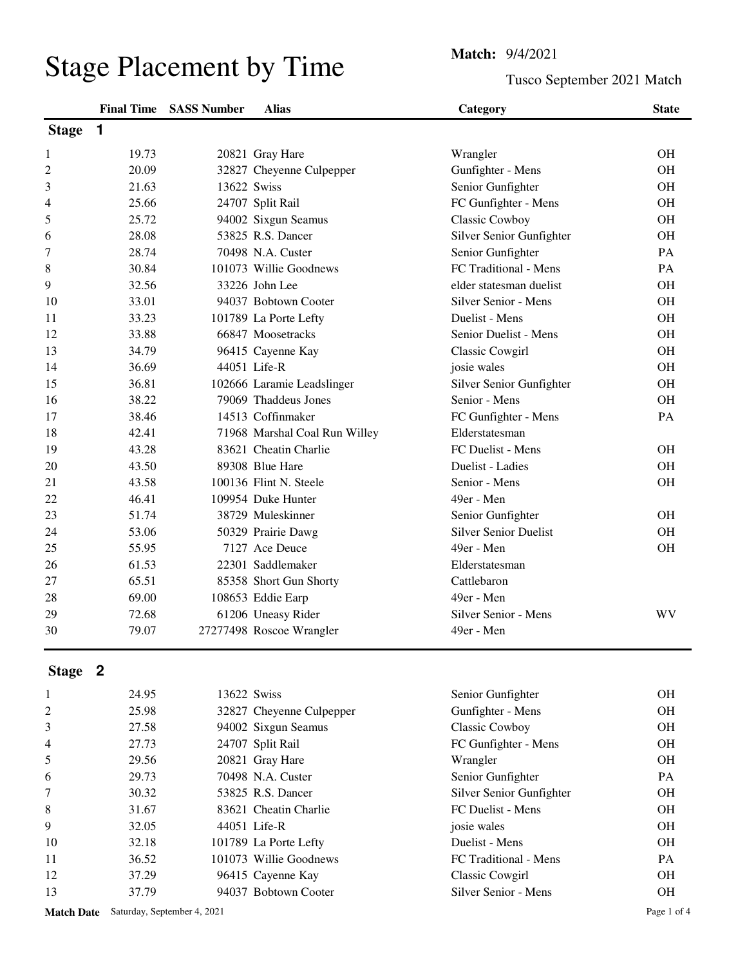## Stage Placement by Time<br>
Tusco Se

Tusco September 2021 Match

|              | <b>Final Time</b> | <b>SASS Number</b> | <b>Alias</b>                  | Category                     | <b>State</b> |
|--------------|-------------------|--------------------|-------------------------------|------------------------------|--------------|
| <b>Stage</b> | 1                 |                    |                               |                              |              |
| 1            | 19.73             |                    | 20821 Gray Hare               | Wrangler                     | <b>OH</b>    |
| 2            | 20.09             |                    | 32827 Cheyenne Culpepper      | Gunfighter - Mens            | <b>OH</b>    |
| 3            | 21.63             | 13622 Swiss        |                               | Senior Gunfighter            | <b>OH</b>    |
| 4            | 25.66             |                    | 24707 Split Rail              | FC Gunfighter - Mens         | <b>OH</b>    |
| 5            | 25.72             |                    | 94002 Sixgun Seamus           | Classic Cowboy               | <b>OH</b>    |
| 6            | 28.08             |                    | 53825 R.S. Dancer             | Silver Senior Gunfighter     | <b>OH</b>    |
| 7            | 28.74             |                    | 70498 N.A. Custer             | Senior Gunfighter            | PA           |
| 8            | 30.84             |                    | 101073 Willie Goodnews        | FC Traditional - Mens        | PA           |
| 9            | 32.56             |                    | 33226 John Lee                | elder statesman duelist      | <b>OH</b>    |
| 10           | 33.01             |                    | 94037 Bobtown Cooter          | Silver Senior - Mens         | <b>OH</b>    |
| 11           | 33.23             |                    | 101789 La Porte Lefty         | Duelist - Mens               | <b>OH</b>    |
| 12           | 33.88             |                    | 66847 Moosetracks             | Senior Duelist - Mens        | <b>OH</b>    |
| 13           | 34.79             |                    | 96415 Cayenne Kay             | <b>Classic Cowgirl</b>       | <b>OH</b>    |
| 14           | 36.69             |                    | 44051 Life-R                  | josie wales                  | <b>OH</b>    |
| 15           | 36.81             |                    | 102666 Laramie Leadslinger    | Silver Senior Gunfighter     | <b>OH</b>    |
| 16           | 38.22             |                    | 79069 Thaddeus Jones          | Senior - Mens                | <b>OH</b>    |
| 17           | 38.46             |                    | 14513 Coffinmaker             | FC Gunfighter - Mens         | PA           |
| 18           | 42.41             |                    | 71968 Marshal Coal Run Willey | Elderstatesman               |              |
| 19           | 43.28             |                    | 83621 Cheatin Charlie         | FC Duelist - Mens            | <b>OH</b>    |
| 20           | 43.50             |                    | 89308 Blue Hare               | Duelist - Ladies             | <b>OH</b>    |
| 21           | 43.58             |                    | 100136 Flint N. Steele        | Senior - Mens                | <b>OH</b>    |
| 22           | 46.41             |                    | 109954 Duke Hunter            | 49er - Men                   |              |
| 23           | 51.74             |                    | 38729 Muleskinner             | Senior Gunfighter            | <b>OH</b>    |
| 24           | 53.06             |                    | 50329 Prairie Dawg            | <b>Silver Senior Duelist</b> | <b>OH</b>    |
| 25           | 55.95             |                    | 7127 Ace Deuce                | 49er - Men                   | <b>OH</b>    |
| 26           | 61.53             |                    | 22301 Saddlemaker             | Elderstatesman               |              |
| 27           | 65.51             |                    | 85358 Short Gun Shorty        | Cattlebaron                  |              |
| 28           | 69.00             |                    | 108653 Eddie Earp             | 49er - Men                   |              |
| 29           | 72.68             |                    | 61206 Uneasy Rider            | Silver Senior - Mens         | WV           |
| 30           | 79.07             |                    | 27277498 Roscoe Wrangler      | 49er - Men                   |              |

## **Stage 2**

|                | 24.95 | 13622 Swiss              | Senior Gunfighter        | <b>OH</b> |
|----------------|-------|--------------------------|--------------------------|-----------|
| 2              | 25.98 | 32827 Cheyenne Culpepper | Gunfighter - Mens        | OH.       |
| 3              | 27.58 | 94002 Sixgun Seamus      | Classic Cowboy           | OH.       |
| $\overline{4}$ | 27.73 | 24707 Split Rail         | FC Gunfighter - Mens     | OH.       |
| 5              | 29.56 | 20821 Gray Hare          | Wrangler                 | <b>OH</b> |
| 6              | 29.73 | 70498 N.A. Custer        | Senior Gunfighter        | PA        |
| 7              | 30.32 | 53825 R.S. Dancer        | Silver Senior Gunfighter | <b>OH</b> |
| 8              | 31.67 | 83621 Cheatin Charlie    | FC Duelist - Mens        | OH.       |
| 9              | 32.05 | 44051 Life-R             | josie wales              | <b>OH</b> |
| 10             | 32.18 | 101789 La Porte Lefty    | Duelist - Mens           | <b>OH</b> |
| 11             | 36.52 | 101073 Willie Goodnews   | FC Traditional - Mens    | <b>PA</b> |
| 12             | 37.29 | 96415 Cayenne Kay        | Classic Cowgirl          | <b>OH</b> |
| 13             | 37.79 | 94037 Bobtown Cooter     | Silver Senior - Mens     | <b>OH</b> |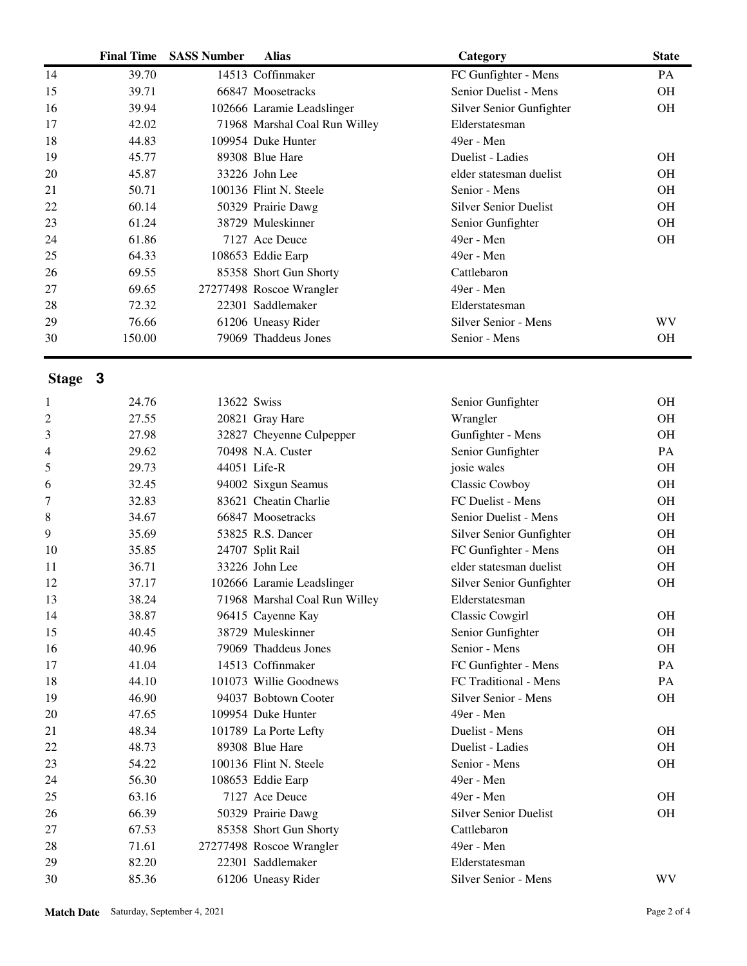|                | <b>Final Time</b> | <b>SASS Number</b> | <b>Alias</b>                  | Category                     | <b>State</b> |
|----------------|-------------------|--------------------|-------------------------------|------------------------------|--------------|
| 14             | 39.70             |                    | 14513 Coffinmaker             | FC Gunfighter - Mens         | <b>PA</b>    |
| 15             | 39.71             |                    | 66847 Moosetracks             | Senior Duelist - Mens        | OH           |
| 16             | 39.94             |                    | 102666 Laramie Leadslinger    | Silver Senior Gunfighter     | OH           |
| 17             | 42.02             |                    | 71968 Marshal Coal Run Willey | Elderstatesman               |              |
| 18             | 44.83             |                    | 109954 Duke Hunter            | 49er - Men                   |              |
| 19             | 45.77             |                    | 89308 Blue Hare               | Duelist - Ladies             | <b>OH</b>    |
| 20             | 45.87             |                    | 33226 John Lee                | elder statesman duelist      | <b>OH</b>    |
| 21             | 50.71             |                    | 100136 Flint N. Steele        | Senior - Mens                | OH           |
| 22             | 60.14             |                    | 50329 Prairie Dawg            | <b>Silver Senior Duelist</b> | <b>OH</b>    |
| 23             | 61.24             |                    | 38729 Muleskinner             | Senior Gunfighter            | OH           |
| 24             | 61.86             |                    | 7127 Ace Deuce                | 49er - Men                   | OH           |
| 25             | 64.33             |                    | 108653 Eddie Earp             | 49er - Men                   |              |
| 26             | 69.55             |                    | 85358 Short Gun Shorty        | Cattlebaron                  |              |
| 27             | 69.65             |                    | 27277498 Roscoe Wrangler      | 49er - Men                   |              |
| 28             | 72.32             |                    | 22301 Saddlemaker             | Elderstatesman               |              |
| 29             | 76.66             |                    | 61206 Uneasy Rider            | Silver Senior - Mens         | WV           |
| 30             | 150.00            |                    | 79069 Thaddeus Jones          | Senior - Mens                | OH           |
| Stage 3        |                   |                    |                               |                              |              |
|                |                   |                    |                               |                              |              |
| 1              | 24.76             | 13622 Swiss        |                               | Senior Gunfighter            | <b>OH</b>    |
| $\mathfrak{2}$ | 27.55             |                    | 20821 Gray Hare               | Wrangler                     | <b>OH</b>    |
| 3              | 27.98             |                    | 32827 Cheyenne Culpepper      | Gunfighter - Mens            | OH           |
| 4              | 29.62             |                    | 70498 N.A. Custer             | Senior Gunfighter            | PA           |
| 5              | 29.73             |                    | 44051 Life-R                  | josie wales                  | <b>OH</b>    |
| 6              | 32.45             |                    | 94002 Sixgun Seamus           | Classic Cowboy               | OH           |
| 7              | 32.83             |                    | 83621 Cheatin Charlie         | FC Duelist - Mens            | <b>OH</b>    |
| 8              | 34.67             |                    | 66847 Moosetracks             | Senior Duelist - Mens        | OH           |
| 9              | 35.69             |                    | 53825 R.S. Dancer             | Silver Senior Gunfighter     | OH           |
| 10             | 35.85             |                    | 24707 Split Rail              | FC Gunfighter - Mens         | <b>OH</b>    |
| 11             | 36.71             |                    | 33226 John Lee                | elder statesman duelist      | <b>OH</b>    |
| 12             | 37.17             |                    | 102666 Laramie Leadslinger    | Silver Senior Gunfighter     | OH           |
| 13             | 38.24             |                    | 71968 Marshal Coal Run Willey | Elderstatesman               |              |

| 10 | 35.85 | 24707 Split Rail              | FC Gunfighter - Mens         | OН        |
|----|-------|-------------------------------|------------------------------|-----------|
| 11 | 36.71 | 33226 John Lee                | elder statesman duelist      | <b>OH</b> |
| 12 | 37.17 | 102666 Laramie Leadslinger    | Silver Senior Gunfighter     | OН        |
| 13 | 38.24 | 71968 Marshal Coal Run Willey | Elderstatesman               |           |
| 14 | 38.87 | 96415 Cayenne Kay             | Classic Cowgirl              | OН        |
| 15 | 40.45 | 38729 Muleskinner             | Senior Gunfighter            | <b>OH</b> |
| 16 | 40.96 | 79069 Thaddeus Jones          | Senior - Mens                | OН        |
| 17 | 41.04 | 14513 Coffinmaker             | FC Gunfighter - Mens         | PA        |
| 18 | 44.10 | 101073 Willie Goodnews        | FC Traditional - Mens        | <b>PA</b> |
| 19 | 46.90 | 94037 Bobtown Cooter          | Silver Senior - Mens         | OН        |
| 20 | 47.65 | 109954 Duke Hunter            | 49er - Men                   |           |
| 21 | 48.34 | 101789 La Porte Lefty         | Duelist - Mens               | <b>OH</b> |
| 22 | 48.73 | 89308 Blue Hare               | Duelist - Ladies             | <b>OH</b> |
| 23 | 54.22 | 100136 Flint N. Steele        | Senior - Mens                | <b>OH</b> |
| 24 | 56.30 | 108653 Eddie Earp             | 49er - Men                   |           |
| 25 | 63.16 | 7127 Ace Deuce                | 49er - Men                   | <b>OH</b> |
| 26 | 66.39 | 50329 Prairie Dawg            | <b>Silver Senior Duelist</b> | OН        |
| 27 | 67.53 | 85358 Short Gun Shorty        | Cattlebaron                  |           |
| 28 | 71.61 | 27277498 Roscoe Wrangler      | 49er - Men                   |           |
| 29 | 82.20 | 22301 Saddlemaker             | Elderstatesman               |           |
| 30 | 85.36 | 61206 Uneasy Rider            | Silver Senior - Mens         | WV        |
|    |       |                               |                              |           |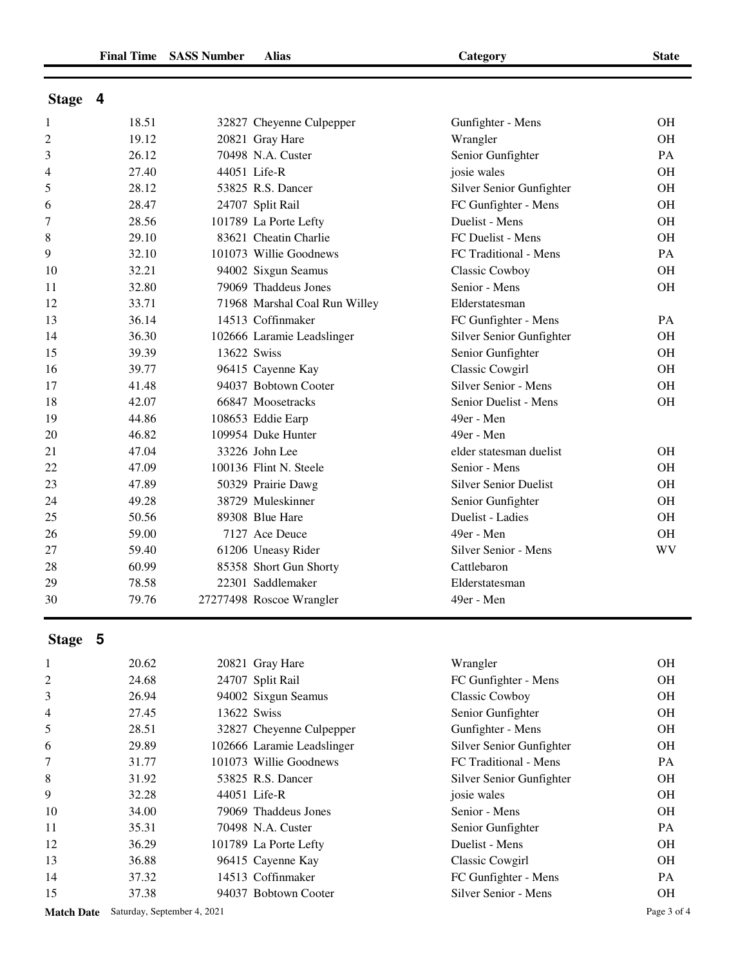| v<br>٩<br>I<br>v<br>۰.<br>I |
|-----------------------------|
|-----------------------------|

| <b>Stage</b> |  |
|--------------|--|
|              |  |

| $\mathbf{1}$   | 18.51 |             | 32827 Cheyenne Culpepper      | Gunfighter - Mens            | OH        |
|----------------|-------|-------------|-------------------------------|------------------------------|-----------|
| $\overline{c}$ | 19.12 |             | 20821 Gray Hare               | Wrangler                     | OH        |
| 3              | 26.12 |             | 70498 N.A. Custer             | Senior Gunfighter            | PA        |
| 4              | 27.40 |             | 44051 Life-R                  | josie wales                  | <b>OH</b> |
| 5              | 28.12 |             | 53825 R.S. Dancer             | Silver Senior Gunfighter     | <b>OH</b> |
| 6              | 28.47 |             | 24707 Split Rail              | FC Gunfighter - Mens         | OH        |
| 7              | 28.56 |             | 101789 La Porte Lefty         | Duelist - Mens               | OH        |
| 8              | 29.10 |             | 83621 Cheatin Charlie         | FC Duelist - Mens            | <b>OH</b> |
| 9              | 32.10 |             | 101073 Willie Goodnews        | FC Traditional - Mens        | PA        |
| 10             | 32.21 |             | 94002 Sixgun Seamus           | <b>Classic Cowboy</b>        | OH        |
| 11             | 32.80 |             | 79069 Thaddeus Jones          | Senior - Mens                | <b>OH</b> |
| 12             | 33.71 |             | 71968 Marshal Coal Run Willey | Elderstatesman               |           |
| 13             | 36.14 |             | 14513 Coffinmaker             | FC Gunfighter - Mens         | PA        |
| 14             | 36.30 |             | 102666 Laramie Leadslinger    | Silver Senior Gunfighter     | OH        |
| 15             | 39.39 | 13622 Swiss |                               | Senior Gunfighter            | OН        |
| 16             | 39.77 |             | 96415 Cayenne Kay             | <b>Classic Cowgirl</b>       | OH        |
| 17             | 41.48 |             | 94037 Bobtown Cooter          | Silver Senior - Mens         | OH        |
| 18             | 42.07 |             | 66847 Moosetracks             | Senior Duelist - Mens        | OH        |
| 19             | 44.86 |             | 108653 Eddie Earp             | 49er - Men                   |           |
| 20             | 46.82 |             | 109954 Duke Hunter            | 49er - Men                   |           |
| 21             | 47.04 |             | 33226 John Lee                | elder statesman duelist      | OН        |
| 22             | 47.09 |             | 100136 Flint N. Steele        | Senior - Mens                | OH        |
| 23             | 47.89 |             | 50329 Prairie Dawg            | <b>Silver Senior Duelist</b> | OH        |
| 24             | 49.28 |             | 38729 Muleskinner             | Senior Gunfighter            | OH        |
| 25             | 50.56 |             | 89308 Blue Hare               | Duelist - Ladies             | <b>OH</b> |
| 26             | 59.00 |             | 7127 Ace Deuce                | 49er - Men                   | <b>OH</b> |
| 27             | 59.40 |             | 61206 Uneasy Rider            | Silver Senior - Mens         | <b>WV</b> |
| 28             | 60.99 |             | 85358 Short Gun Shorty        | Cattlebaron                  |           |
| 29             | 78.58 |             | 22301 Saddlemaker             | Elderstatesman               |           |
| 30             | 79.76 |             | 27277498 Roscoe Wrangler      | 49er - Men                   |           |

## **Stage 5**

| 1              | 20.62 | 20821 Gray Hare            | Wrangler                 | <b>OH</b> |
|----------------|-------|----------------------------|--------------------------|-----------|
| 2              | 24.68 | 24707 Split Rail           | FC Gunfighter - Mens     | <b>OH</b> |
| 3              | 26.94 | 94002 Sixgun Seamus        | <b>Classic Cowboy</b>    | <b>OH</b> |
| $\overline{4}$ | 27.45 | 13622 Swiss                | Senior Gunfighter        | <b>OH</b> |
| 5              | 28.51 | 32827 Cheyenne Culpepper   | Gunfighter - Mens        | <b>OH</b> |
| 6              | 29.89 | 102666 Laramie Leadslinger | Silver Senior Gunfighter | <b>OH</b> |
| 7              | 31.77 | 101073 Willie Goodnews     | FC Traditional - Mens    | PA.       |
| 8              | 31.92 | 53825 R.S. Dancer          | Silver Senior Gunfighter | OH        |
| 9              | 32.28 | 44051 Life-R               | josie wales              | <b>OH</b> |
| 10             | 34.00 | 79069 Thaddeus Jones       | Senior - Mens            | <b>OH</b> |
| 11             | 35.31 | 70498 N.A. Custer          | Senior Gunfighter        | PA        |
| 12             | 36.29 | 101789 La Porte Lefty      | Duelist - Mens           | <b>OH</b> |
| 13             | 36.88 | 96415 Cayenne Kay          | Classic Cowgirl          | <b>OH</b> |
| 14             | 37.32 | 14513 Coffinmaker          | FC Gunfighter - Mens     | PA.       |
| 15             | 37.38 | 94037 Bobtown Cooter       | Silver Senior - Mens     | <b>OH</b> |